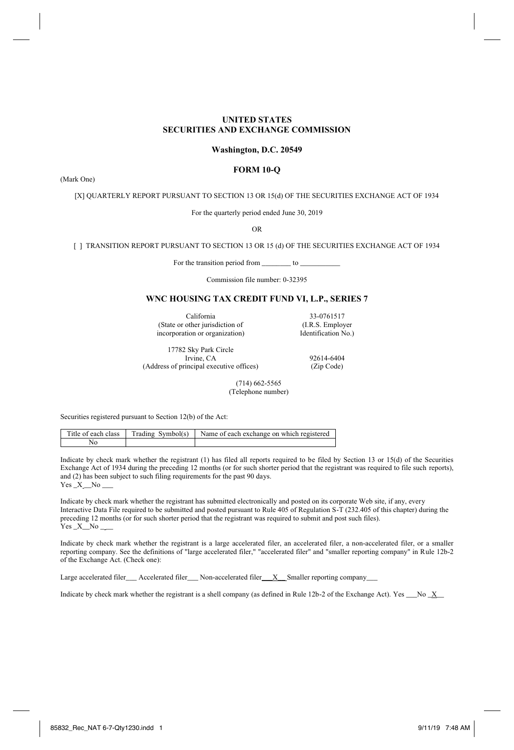# **UNITED STATES SECURITIES AND EXCHANGE COMMISSION**

## **Washington, D.C. 20549**

## **FORM 10-Q**

(Mark One)

[X] QUARTERLY REPORT PURSUANT TO SECTION 13 OR 15(d) OF THE SECURITIES EXCHANGE ACT OF 1934

For the quarterly period ended June 30, 2019

OR

[ ] TRANSITION REPORT PURSUANT TO SECTION 13 OR 15 (d) OF THE SECURITIES EXCHANGE ACT OF 1934

For the transition period from \_\_\_\_\_\_\_\_ to \_\_\_\_\_\_\_\_\_\_\_

Commission file number: 0-32395

# **WNC HOUSING TAX CREDIT FUND VI, L.P., SERIES 7**

California 33-0761517<br>
other jurisdiction of (I.R.S. Employer (State or other jurisdiction of (I.R.S. Employer<br>incorporation or organization) [dentification No.) incorporation or organization)

17782 Sky Park Circle (Address of principal executive offices) (Zip Code)

92614-6404

 (714) 662-5565 (Telephone number)

Securities registered pursuant to Section 12(b) of the Act:

|  | Title of each class Trading Symbol(s) Name of each exchange on which registered |
|--|---------------------------------------------------------------------------------|
|  |                                                                                 |

Indicate by check mark whether the registrant (1) has filed all reports required to be filed by Section 13 or 15(d) of the Securities Exchange Act of 1934 during the preceding 12 months (or for such shorter period that the registrant was required to file such reports), and (2) has been subject to such filing requirements for the past 90 days.  $Yes\_X$   $No$ 

Indicate by check mark whether the registrant has submitted electronically and posted on its corporate Web site, if any, every Interactive Data File required to be submitted and posted pursuant to Rule 405 of Regulation S-T (232.405 of this chapter) during the preceding 12 months (or for such shorter period that the registrant was required to submit and post such files).  $Yes\_X$  No  $\_$ 

Indicate by check mark whether the registrant is a large accelerated filer, an accelerated filer, a non-accelerated filer, or a smaller reporting company. See the definitions of "large accelerated filer," "accelerated filer" and "smaller reporting company" in Rule 12b-2 of the Exchange Act. (Check one):

Large accelerated filer\_\_\_ Accelerated filer\_\_\_ Non-accelerated filer\_\_\_X\_\_ Smaller reporting company\_\_\_

Indicate by check mark whether the registrant is a shell company (as defined in Rule 12b-2 of the Exchange Act). Yes \_\_\_No \_X\_\_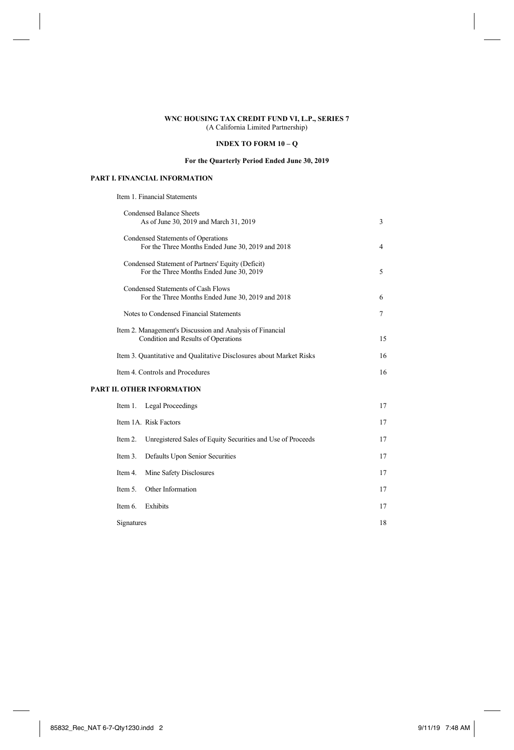# **INDEX TO FORM 10 – Q**

# **For the Quarterly Period Ended June 30, 2019**

# **PART I. FINANCIAL INFORMATION**

Item 1. Financial Statements

|            | <b>Condensed Balance Sheets</b><br>As of June 30, 2019 and March 31, 2019                        | 3  |
|------------|--------------------------------------------------------------------------------------------------|----|
|            | Condensed Statements of Operations<br>For the Three Months Ended June 30, 2019 and 2018          | 4  |
|            | Condensed Statement of Partners' Equity (Deficit)<br>For the Three Months Ended June 30, 2019    | 5  |
|            | Condensed Statements of Cash Flows<br>For the Three Months Ended June 30, 2019 and 2018          | 6  |
|            | Notes to Condensed Financial Statements                                                          | 7  |
|            | Item 2. Management's Discussion and Analysis of Financial<br>Condition and Results of Operations | 15 |
|            | Item 3. Quantitative and Qualitative Disclosures about Market Risks                              | 16 |
|            | Item 4. Controls and Procedures                                                                  | 16 |
|            | <b>PART II. OTHER INFORMATION</b>                                                                |    |
| Item 1.    | <b>Legal Proceedings</b>                                                                         | 17 |
|            | Item 1A. Risk Factors                                                                            | 17 |
| Item 2.    | Unregistered Sales of Equity Securities and Use of Proceeds                                      | 17 |
| Item 3.    | Defaults Upon Senior Securities                                                                  | 17 |
| Item 4.    | Mine Safety Disclosures                                                                          | 17 |
| Item 5.    | Other Information                                                                                | 17 |
| Item 6.    | Exhibits                                                                                         | 17 |
| Signatures |                                                                                                  | 18 |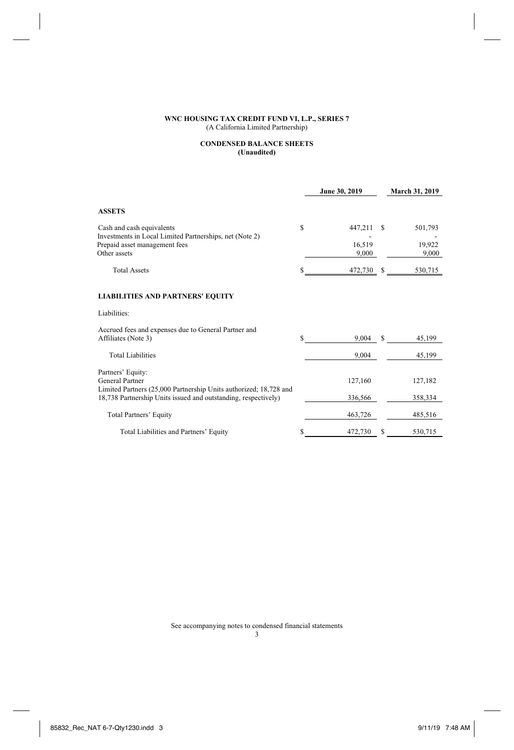## **CONDENSED BALANCE SHEETS (Unaudited)**

|                                                                                                                                     |    | June 30, 2019   |    | <b>March 31, 2019</b> |
|-------------------------------------------------------------------------------------------------------------------------------------|----|-----------------|----|-----------------------|
| <b>ASSETS</b>                                                                                                                       |    |                 |    |                       |
| Cash and cash equivalents                                                                                                           | S  | 447,211         | £. | 501,793               |
| Investments in Local Limited Partnerships, net (Note 2)                                                                             |    |                 |    |                       |
| Prepaid asset management fees<br>Other assets                                                                                       |    | 16.519<br>9,000 |    | 19,922<br>9,000       |
|                                                                                                                                     |    |                 |    |                       |
| <b>Total Assets</b>                                                                                                                 | S  | 472,730         | s  | 530,715               |
|                                                                                                                                     |    |                 |    |                       |
| <b>LIABILITIES AND PARTNERS' EQUITY</b>                                                                                             |    |                 |    |                       |
| Liabilities:                                                                                                                        |    |                 |    |                       |
| Accrued fees and expenses due to General Partner and                                                                                |    |                 |    |                       |
| Affiliates (Note 3)                                                                                                                 | S  | 9.004           | S. | 45,199                |
| <b>Total Liabilities</b>                                                                                                            |    | 9,004           |    | 45,199                |
|                                                                                                                                     |    |                 |    |                       |
| Partners' Equity:                                                                                                                   |    |                 |    |                       |
| General Partner                                                                                                                     |    | 127,160         |    | 127,182               |
| Limited Partners (25,000 Partnership Units authorized; 18,728 and<br>18,738 Partnership Units issued and outstanding, respectively) |    | 336,566         |    | 358,334               |
|                                                                                                                                     |    |                 |    |                       |
| Total Partners' Equity                                                                                                              |    | 463,726         |    | 485,516               |
| Total Liabilities and Partners' Equity                                                                                              | \$ | 472,730         | S  | 530,715               |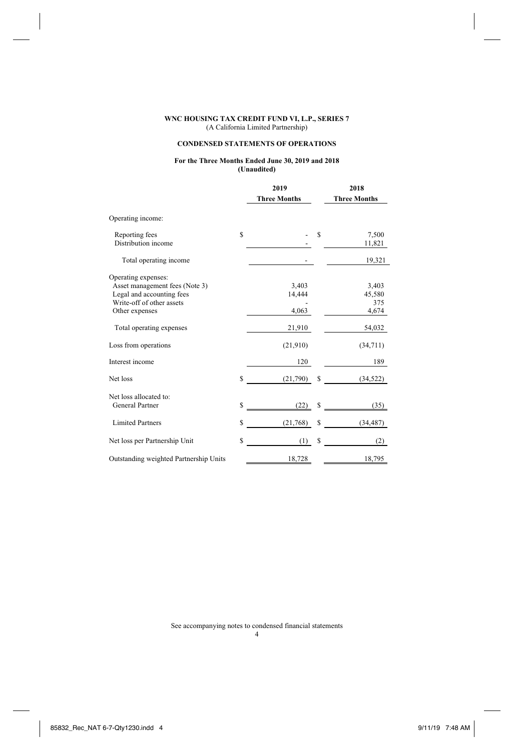# **CONDENSED STATEMENTS OF OPERATIONS**

## **For the Three Months Ended June 30, 2019 and 2018 (Unaudited)**

|                                                        |    | 2019                |   | 2018                |  |  |
|--------------------------------------------------------|----|---------------------|---|---------------------|--|--|
|                                                        |    | <b>Three Months</b> |   | <b>Three Months</b> |  |  |
| Operating income:                                      |    |                     |   |                     |  |  |
| Reporting fees                                         | S  |                     | S | 7,500               |  |  |
| Distribution income                                    |    |                     |   | 11,821              |  |  |
| Total operating income                                 |    |                     |   | 19,321              |  |  |
| Operating expenses:                                    |    |                     |   |                     |  |  |
| Asset management fees (Note 3)                         |    | 3,403               |   | 3,403               |  |  |
| Legal and accounting fees<br>Write-off of other assets |    | 14,444              |   | 45,580<br>375       |  |  |
| Other expenses                                         |    | 4,063               |   | 4,674               |  |  |
|                                                        |    |                     |   |                     |  |  |
| Total operating expenses                               |    | 21,910              |   | 54,032              |  |  |
| Loss from operations                                   |    | (21,910)            |   | (34,711)            |  |  |
| Interest income                                        |    | 120                 |   | 189                 |  |  |
| Net loss                                               | \$ | (21,790)            | s | (34, 522)           |  |  |
| Net loss allocated to:                                 |    |                     |   |                     |  |  |
| General Partner                                        | \$ | $(22)$ \$           |   | (35)                |  |  |
| <b>Limited Partners</b>                                | Ŝ  | (21,768)            | s | (34, 487)           |  |  |
| Net loss per Partnership Unit                          | \$ | (1)                 | S | (2)                 |  |  |
| Outstanding weighted Partnership Units                 |    | 18,728              |   | 18,795              |  |  |
|                                                        |    |                     |   |                     |  |  |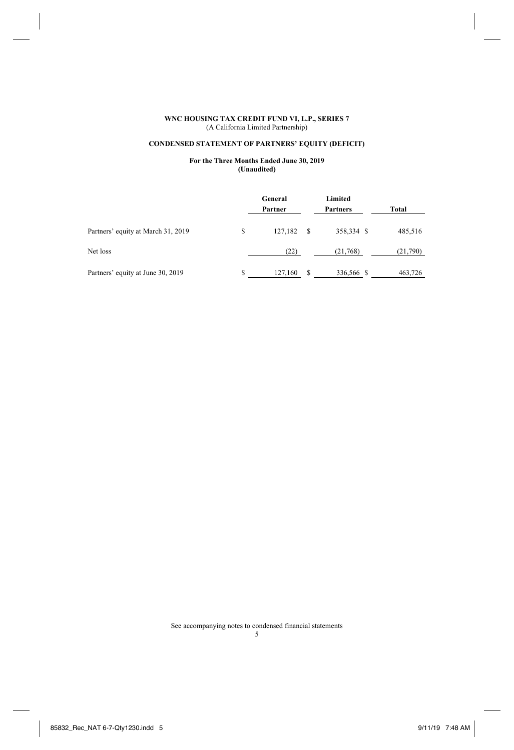# **CONDENSED STATEMENT OF PARTNERS' EQUITY (DEFICIT)**

## **For the Three Months Ended June 30, 2019 (Unaudited)**

|                                    |   | General<br>Partner |    | Limited<br>Partners | Total    |
|------------------------------------|---|--------------------|----|---------------------|----------|
| Partners' equity at March 31, 2019 | S | 127,182            | S  | 358,334 \$          | 485,516  |
| Net loss                           |   | (22)               |    | (21,768)            | (21,790) |
| Partners' equity at June 30, 2019  |   | 127,160            | -S | 336,566 \$          | 463,726  |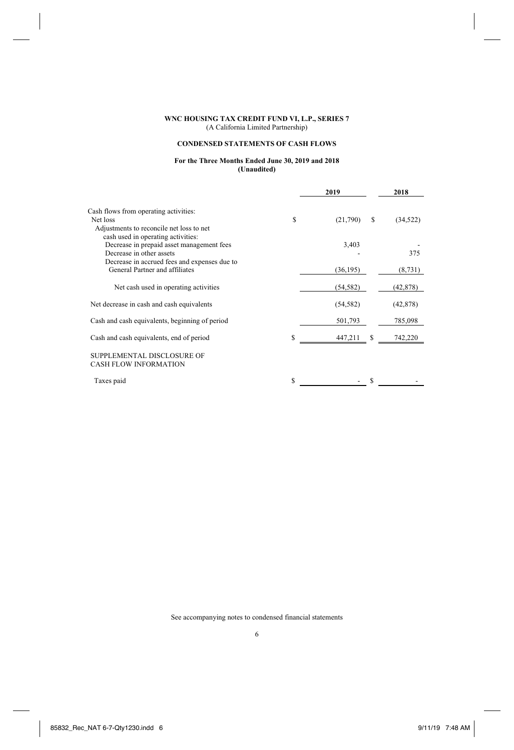# **CONDENSED STATEMENTS OF CASH FLOWS**

## **For the Three Months Ended June 30, 2019 and 2018 (Unaudited)**

|                                                            | 2019      |   | 2018      |
|------------------------------------------------------------|-----------|---|-----------|
| Cash flows from operating activities:                      |           |   |           |
| S<br>Net loss<br>Adjustments to reconcile net loss to net  | (21,790)  | S | (34, 522) |
| cash used in operating activities:                         |           |   |           |
| Decrease in prepaid asset management fees                  | 3,403     |   |           |
| Decrease in other assets                                   |           |   | 375       |
| Decrease in accrued fees and expenses due to               |           |   |           |
| General Partner and affiliates                             | (36, 195) |   | (8, 731)  |
| Net cash used in operating activities                      | (54, 582) |   | (42, 878) |
| Net decrease in cash and cash equivalents                  | (54, 582) |   | (42, 878) |
| Cash and cash equivalents, beginning of period             | 501,793   |   | 785,098   |
| S<br>Cash and cash equivalents, end of period              | 447,211   | S | 742,220   |
| SUPPLEMENTAL DISCLOSURE OF<br><b>CASH FLOW INFORMATION</b> |           |   |           |
| S<br>Taxes paid                                            |           |   |           |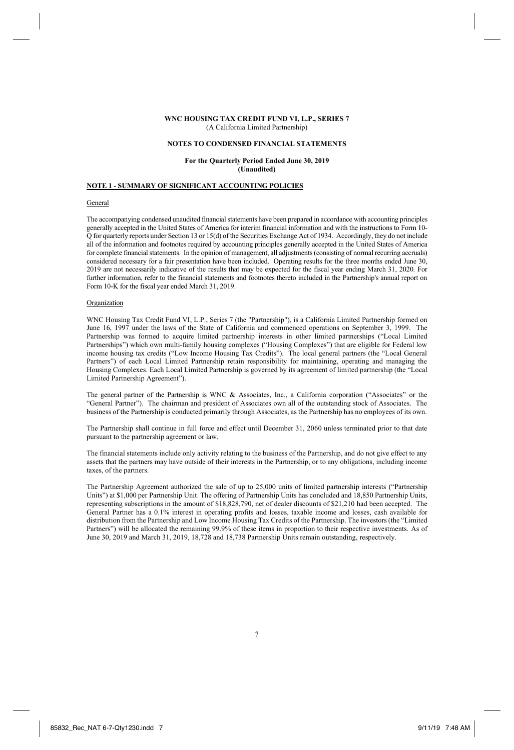#### **NOTES TO CONDENSED FINANCIAL STATEMENTS**

**For the Quarterly Period Ended June 30, 2019 (Unaudited)** 

## **NOTE 1 - SUMMARY OF SIGNIFICANT ACCOUNTING POLICIES**

## General

The accompanying condensed unaudited financial statements have been prepared in accordance with accounting principles generally accepted in the United States of America for interim financial information and with the instructions to Form 10- Q for quarterly reports under Section 13 or 15(d) of the Securities Exchange Act of 1934. Accordingly, they do not include all of the information and footnotes required by accounting principles generally accepted in the United States of America for complete financial statements. In the opinion of management, all adjustments (consisting of normal recurring accruals) considered necessary for a fair presentation have been included. Operating results for the three months ended June 30, 2019 are not necessarily indicative of the results that may be expected for the fiscal year ending March 31, 2020. For further information, refer to the financial statements and footnotes thereto included in the Partnership's annual report on Form 10-K for the fiscal year ended March 31, 2019.

#### Organization

WNC Housing Tax Credit Fund VI, L.P., Series 7 (the "Partnership"), is a California Limited Partnership formed on June 16, 1997 under the laws of the State of California and commenced operations on September 3, 1999. The Partnership was formed to acquire limited partnership interests in other limited partnerships ("Local Limited Partnerships") which own multi-family housing complexes ("Housing Complexes") that are eligible for Federal low income housing tax credits ("Low Income Housing Tax Credits"). The local general partners (the "Local General Partners") of each Local Limited Partnership retain responsibility for maintaining, operating and managing the Housing Complexes. Each Local Limited Partnership is governed by its agreement of limited partnership (the "Local Limited Partnership Agreement").

The general partner of the Partnership is WNC & Associates, Inc., a California corporation ("Associates" or the "General Partner"). The chairman and president of Associates own all of the outstanding stock of Associates. The business of the Partnership is conducted primarily through Associates, as the Partnership has no employees of its own.

The Partnership shall continue in full force and effect until December 31, 2060 unless terminated prior to that date pursuant to the partnership agreement or law.

The financial statements include only activity relating to the business of the Partnership, and do not give effect to any assets that the partners may have outside of their interests in the Partnership, or to any obligations, including income taxes, of the partners.

The Partnership Agreement authorized the sale of up to 25,000 units of limited partnership interests ("Partnership Units") at \$1,000 per Partnership Unit. The offering of Partnership Units has concluded and 18,850 Partnership Units, representing subscriptions in the amount of \$18,828,790, net of dealer discounts of \$21,210 had been accepted. The General Partner has a 0.1% interest in operating profits and losses, taxable income and losses, cash available for distribution from the Partnership and Low Income Housing Tax Credits of the Partnership. The investors (the "Limited Partners") will be allocated the remaining 99.9% of these items in proportion to their respective investments. As of June 30, 2019 and March 31, 2019, 18,728 and 18,738 Partnership Units remain outstanding, respectively.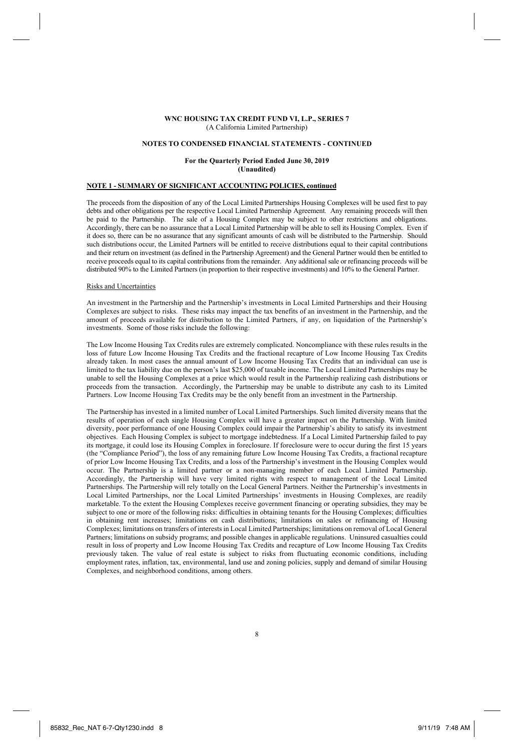#### **NOTES TO CONDENSED FINANCIAL STATEMENTS - CONTINUED**

### **For the Quarterly Period Ended June 30, 2019 (Unaudited)**

## **NOTE 1 - SUMMARY OF SIGNIFICANT ACCOUNTING POLICIES, continued**

The proceeds from the disposition of any of the Local Limited Partnerships Housing Complexes will be used first to pay debts and other obligations per the respective Local Limited Partnership Agreement. Any remaining proceeds will then be paid to the Partnership. The sale of a Housing Complex may be subject to other restrictions and obligations. Accordingly, there can be no assurance that a Local Limited Partnership will be able to sell its Housing Complex. Even if it does so, there can be no assurance that any significant amounts of cash will be distributed to the Partnership. Should such distributions occur, the Limited Partners will be entitled to receive distributions equal to their capital contributions and their return on investment (as defined in the Partnership Agreement) and the General Partner would then be entitled to receive proceeds equal to its capital contributions from the remainder. Any additional sale or refinancing proceeds will be distributed 90% to the Limited Partners (in proportion to their respective investments) and 10% to the General Partner.

#### Risks and Uncertainties

An investment in the Partnership and the Partnership's investments in Local Limited Partnerships and their Housing Complexes are subject to risks. These risks may impact the tax benefits of an investment in the Partnership, and the amount of proceeds available for distribution to the Limited Partners, if any, on liquidation of the Partnership's investments. Some of those risks include the following:

The Low Income Housing Tax Credits rules are extremely complicated. Noncompliance with these rules results in the loss of future Low Income Housing Tax Credits and the fractional recapture of Low Income Housing Tax Credits already taken. In most cases the annual amount of Low Income Housing Tax Credits that an individual can use is limited to the tax liability due on the person's last \$25,000 of taxable income. The Local Limited Partnerships may be unable to sell the Housing Complexes at a price which would result in the Partnership realizing cash distributions or proceeds from the transaction. Accordingly, the Partnership may be unable to distribute any cash to its Limited Partners. Low Income Housing Tax Credits may be the only benefit from an investment in the Partnership.

The Partnership has invested in a limited number of Local Limited Partnerships. Such limited diversity means that the results of operation of each single Housing Complex will have a greater impact on the Partnership. With limited diversity, poor performance of one Housing Complex could impair the Partnership's ability to satisfy its investment objectives. Each Housing Complex is subject to mortgage indebtedness. If a Local Limited Partnership failed to pay its mortgage, it could lose its Housing Complex in foreclosure. If foreclosure were to occur during the first 15 years (the "Compliance Period"), the loss of any remaining future Low Income Housing Tax Credits, a fractional recapture of prior Low Income Housing Tax Credits, and a loss of the Partnership's investment in the Housing Complex would occur. The Partnership is a limited partner or a non-managing member of each Local Limited Partnership. Accordingly, the Partnership will have very limited rights with respect to management of the Local Limited Partnerships. The Partnership will rely totally on the Local General Partners. Neither the Partnership's investments in Local Limited Partnerships, nor the Local Limited Partnerships' investments in Housing Complexes, are readily marketable. To the extent the Housing Complexes receive government financing or operating subsidies, they may be subject to one or more of the following risks: difficulties in obtaining tenants for the Housing Complexes; difficulties in obtaining rent increases; limitations on cash distributions; limitations on sales or refinancing of Housing Complexes; limitations on transfers of interests in Local Limited Partnerships; limitations on removal of Local General Partners; limitations on subsidy programs; and possible changes in applicable regulations. Uninsured casualties could result in loss of property and Low Income Housing Tax Credits and recapture of Low Income Housing Tax Credits previously taken. The value of real estate is subject to risks from fluctuating economic conditions, including employment rates, inflation, tax, environmental, land use and zoning policies, supply and demand of similar Housing Complexes, and neighborhood conditions, among others.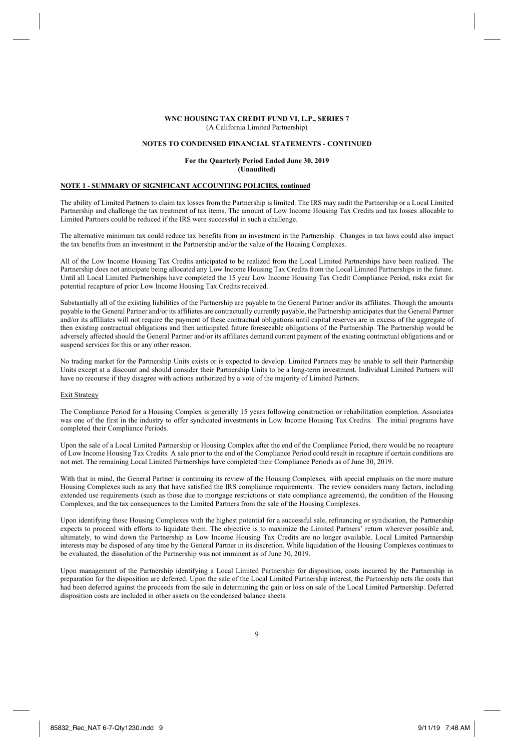#### **NOTES TO CONDENSED FINANCIAL STATEMENTS - CONTINUED**

### **For the Quarterly Period Ended June 30, 2019 (Unaudited)**

# **NOTE 1 - SUMMARY OF SIGNIFICANT ACCOUNTING POLICIES, continued**

The ability of Limited Partners to claim tax losses from the Partnership is limited. The IRS may audit the Partnership or a Local Limited Partnership and challenge the tax treatment of tax items. The amount of Low Income Housing Tax Credits and tax losses allocable to Limited Partners could be reduced if the IRS were successful in such a challenge.

The alternative minimum tax could reduce tax benefits from an investment in the Partnership. Changes in tax laws could also impact the tax benefits from an investment in the Partnership and/or the value of the Housing Complexes.

All of the Low Income Housing Tax Credits anticipated to be realized from the Local Limited Partnerships have been realized. The Partnership does not anticipate being allocated any Low Income Housing Tax Credits from the Local Limited Partnerships in the future. Until all Local Limited Partnerships have completed the 15 year Low Income Housing Tax Credit Compliance Period, risks exist for potential recapture of prior Low Income Housing Tax Credits received.

Substantially all of the existing liabilities of the Partnership are payable to the General Partner and/or its affiliates. Though the amounts payable to the General Partner and/or its affiliates are contractually currently payable, the Partnership anticipates that the General Partner and/or its affiliates will not require the payment of these contractual obligations until capital reserves are in excess of the aggregate of then existing contractual obligations and then anticipated future foreseeable obligations of the Partnership. The Partnership would be adversely affected should the General Partner and/or its affiliates demand current payment of the existing contractual obligations and or suspend services for this or any other reason.

No trading market for the Partnership Units exists or is expected to develop. Limited Partners may be unable to sell their Partnership Units except at a discount and should consider their Partnership Units to be a long-term investment. Individual Limited Partners will have no recourse if they disagree with actions authorized by a vote of the majority of Limited Partners.

### Exit Strategy

The Compliance Period for a Housing Complex is generally 15 years following construction or rehabilitation completion. Associates was one of the first in the industry to offer syndicated investments in Low Income Housing Tax Credits. The initial programs have completed their Compliance Periods.

Upon the sale of a Local Limited Partnership or Housing Complex after the end of the Compliance Period, there would be no recapture of Low Income Housing Tax Credits. A sale prior to the end of the Compliance Period could result in recapture if certain conditions are not met. The remaining Local Limited Partnerships have completed their Compliance Periods as of June 30, 2019.

With that in mind, the General Partner is continuing its review of the Housing Complexes, with special emphasis on the more mature Housing Complexes such as any that have satisfied the IRS compliance requirements. The review considers many factors, including extended use requirements (such as those due to mortgage restrictions or state compliance agreements), the condition of the Housing Complexes, and the tax consequences to the Limited Partners from the sale of the Housing Complexes.

Upon identifying those Housing Complexes with the highest potential for a successful sale, refinancing or syndication, the Partnership expects to proceed with efforts to liquidate them. The objective is to maximize the Limited Partners' return wherever possible and, ultimately, to wind down the Partnership as Low Income Housing Tax Credits are no longer available. Local Limited Partnership interests may be disposed of any time by the General Partner in its discretion. While liquidation of the Housing Complexes continues to be evaluated, the dissolution of the Partnership was not imminent as of June 30, 2019.

Upon management of the Partnership identifying a Local Limited Partnership for disposition, costs incurred by the Partnership in preparation for the disposition are deferred. Upon the sale of the Local Limited Partnership interest, the Partnership nets the costs that had been deferred against the proceeds from the sale in determining the gain or loss on sale of the Local Limited Partnership. Deferred disposition costs are included in other assets on the condensed balance sheets.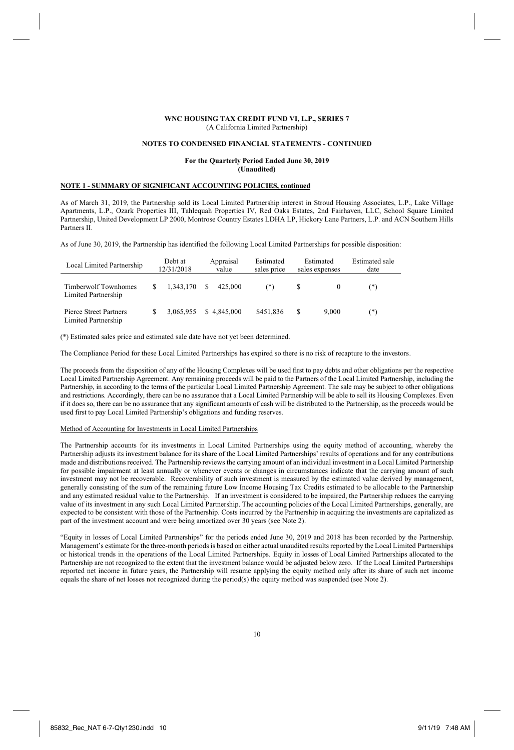#### **NOTES TO CONDENSED FINANCIAL STATEMENTS - CONTINUED**

### **For the Quarterly Period Ended June 30, 2019 (Unaudited)**

## **NOTE 1 - SUMMARY OF SIGNIFICANT ACCOUNTING POLICIES, continued**

As of March 31, 2019, the Partnership sold its Local Limited Partnership interest in Stroud Housing Associates, L.P., Lake Village Apartments, L.P., Ozark Properties III, Tahlequah Properties IV, Red Oaks Estates, 2nd Fairhaven, LLC, School Square Limited Partnership, United Development LP 2000, Montrose Country Estates LDHA LP, Hickory Lane Partners, L.P. and ACN Southern Hills Partners II.

As of June 30, 2019, the Partnership has identified the following Local Limited Partnerships for possible disposition:

| Local Limited Partnership                     |   | Debt at<br>12/31/2018 |    | Appraisal<br>value | Estimated<br>sales price | Estimated<br>sales expenses |       | Estimated sale<br>date |
|-----------------------------------------------|---|-----------------------|----|--------------------|--------------------------|-----------------------------|-------|------------------------|
| Timberwolf Townhomes<br>Limited Partnership   | S | 1.343.170             | S. | 425.000            | (*)                      | S                           |       | (*)                    |
| Pierce Street Partners<br>Limited Partnership |   | 3.065.955             |    | \$4.845,000        | \$451.836                | S                           | 9.000 | (*)                    |

(\*) Estimated sales price and estimated sale date have not yet been determined.

The Compliance Period for these Local Limited Partnerships has expired so there is no risk of recapture to the investors.

The proceeds from the disposition of any of the Housing Complexes will be used first to pay debts and other obligations per the respective Local Limited Partnership Agreement. Any remaining proceeds will be paid to the Partners of the Local Limited Partnership, including the Partnership, in according to the terms of the particular Local Limited Partnership Agreement. The sale may be subject to other obligations and restrictions. Accordingly, there can be no assurance that a Local Limited Partnership will be able to sell its Housing Complexes. Even if it does so, there can be no assurance that any significant amounts of cash will be distributed to the Partnership, as the proceeds would be used first to pay Local Limited Partnership's obligations and funding reserves.

#### Method of Accounting for Investments in Local Limited Partnerships

The Partnership accounts for its investments in Local Limited Partnerships using the equity method of accounting, whereby the Partnership adjusts its investment balance for its share of the Local Limited Partnerships' results of operations and for any contributions made and distributions received. The Partnership reviews the carrying amount of an individual investment in a Local Limited Partnership for possible impairment at least annually or whenever events or changes in circumstances indicate that the carrying amount of such investment may not be recoverable. Recoverability of such investment is measured by the estimated value derived by management, generally consisting of the sum of the remaining future Low Income Housing Tax Credits estimated to be allocable to the Partnership and any estimated residual value to the Partnership. If an investment is considered to be impaired, the Partnership reduces the carrying value of its investment in any such Local Limited Partnership. The accounting policies of the Local Limited Partnerships, generally, are expected to be consistent with those of the Partnership. Costs incurred by the Partnership in acquiring the investments are capitalized as part of the investment account and were being amortized over 30 years (see Note 2).

"Equity in losses of Local Limited Partnerships" for the periods ended June 30, 2019 and 2018 has been recorded by the Partnership. Management's estimate for the three-month periods is based on either actual unaudited results reported by the Local Limited Partnerships or historical trends in the operations of the Local Limited Partnerships. Equity in losses of Local Limited Partnerships allocated to the Partnership are not recognized to the extent that the investment balance would be adjusted below zero. If the Local Limited Partnerships reported net income in future years, the Partnership will resume applying the equity method only after its share of such net income equals the share of net losses not recognized during the period(s) the equity method was suspended (see Note 2).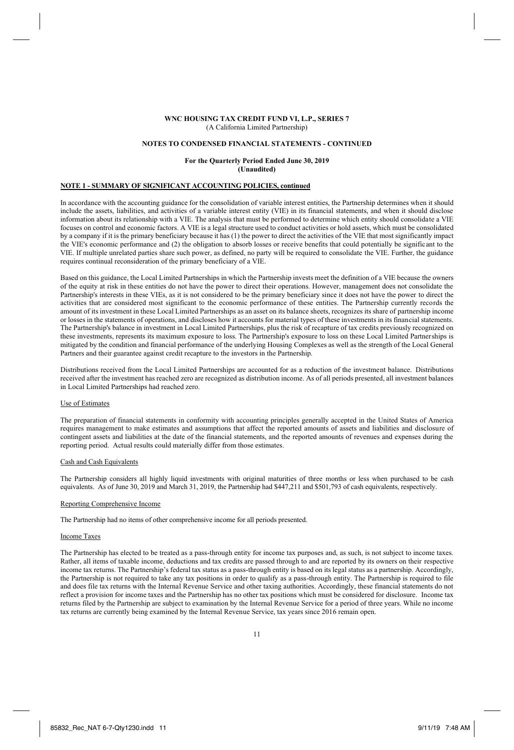#### **NOTES TO CONDENSED FINANCIAL STATEMENTS - CONTINUED**

### **For the Quarterly Period Ended June 30, 2019 (Unaudited)**

# **NOTE 1 - SUMMARY OF SIGNIFICANT ACCOUNTING POLICIES, continued**

In accordance with the accounting guidance for the consolidation of variable interest entities, the Partnership determines when it should include the assets, liabilities, and activities of a variable interest entity (VIE) in its financial statements, and when it should disclose information about its relationship with a VIE. The analysis that must be performed to determine which entity should consolidate a VIE focuses on control and economic factors. A VIE is a legal structure used to conduct activities or hold assets, which must be consolidated by a company if it is the primary beneficiary because it has (1) the power to direct the activities of the VIE that most significantly impact the VIE's economic performance and (2) the obligation to absorb losses or receive benefits that could potentially be significant to the VIE. If multiple unrelated parties share such power, as defined, no party will be required to consolidate the VIE. Further, the guidance requires continual reconsideration of the primary beneficiary of a VIE.

Based on this guidance, the Local Limited Partnerships in which the Partnership invests meet the definition of a VIE because the owners of the equity at risk in these entities do not have the power to direct their operations. However, management does not consolidate the Partnership's interests in these VIEs, as it is not considered to be the primary beneficiary since it does not have the power to direct the activities that are considered most significant to the economic performance of these entities. The Partnership currently records the amount of its investment in these Local Limited Partnerships as an asset on its balance sheets, recognizes its share of partnership income or losses in the statements of operations, and discloses how it accounts for material types of these investments in its financial statements. The Partnership's balance in investment in Local Limited Partnerships, plus the risk of recapture of tax credits previously recognized on these investments, represents its maximum exposure to loss. The Partnership's exposure to loss on these Local Limited Partnerships is mitigated by the condition and financial performance of the underlying Housing Complexes as well as the strength of the Local General Partners and their guarantee against credit recapture to the investors in the Partnership.

Distributions received from the Local Limited Partnerships are accounted for as a reduction of the investment balance. Distributions received after the investment has reached zero are recognized as distribution income. As of all periods presented, all investment balances in Local Limited Partnerships had reached zero.

#### Use of Estimates

The preparation of financial statements in conformity with accounting principles generally accepted in the United States of America requires management to make estimates and assumptions that affect the reported amounts of assets and liabilities and disclosure of contingent assets and liabilities at the date of the financial statements, and the reported amounts of revenues and expenses during the reporting period. Actual results could materially differ from those estimates.

## Cash and Cash Equivalents

The Partnership considers all highly liquid investments with original maturities of three months or less when purchased to be cash equivalents. As of June 30, 2019 and March 31, 2019, the Partnership had \$447,211 and \$501,793 of cash equivalents, respectively.

### Reporting Comprehensive Income

The Partnership had no items of other comprehensive income for all periods presented.

#### Income Taxes

The Partnership has elected to be treated as a pass-through entity for income tax purposes and, as such, is not subject to income taxes. Rather, all items of taxable income, deductions and tax credits are passed through to and are reported by its owners on their respective income tax returns. The Partnership's federal tax status as a pass-through entity is based on its legal status as a partnership. Accordingly, the Partnership is not required to take any tax positions in order to qualify as a pass-through entity. The Partnership is required to file and does file tax returns with the Internal Revenue Service and other taxing authorities. Accordingly, these financial statements do not reflect a provision for income taxes and the Partnership has no other tax positions which must be considered for disclosure. Income tax returns filed by the Partnership are subject to examination by the Internal Revenue Service for a period of three years. While no income tax returns are currently being examined by the Internal Revenue Service, tax years since 2016 remain open.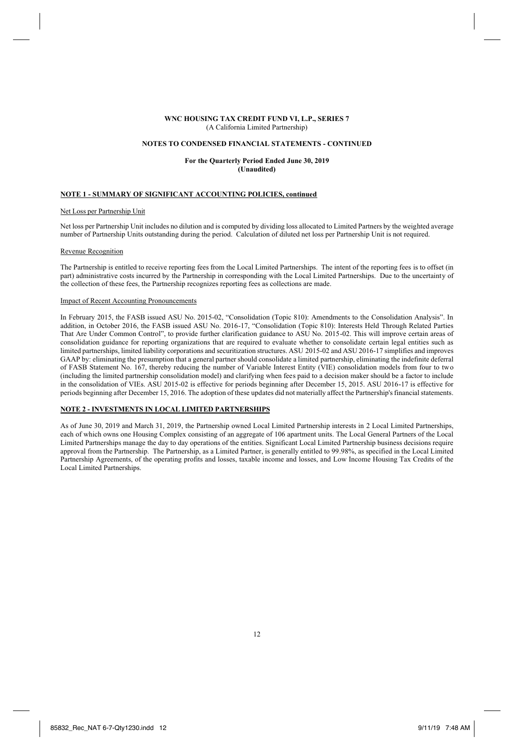#### **NOTES TO CONDENSED FINANCIAL STATEMENTS - CONTINUED**

## **For the Quarterly Period Ended June 30, 2019 (Unaudited)**

## **NOTE 1 - SUMMARY OF SIGNIFICANT ACCOUNTING POLICIES, continued**

#### Net Loss per Partnership Unit

Net loss per Partnership Unit includes no dilution and is computed by dividing loss allocated to Limited Partners by the weighted average number of Partnership Units outstanding during the period. Calculation of diluted net loss per Partnership Unit is not required.

#### Revenue Recognition

The Partnership is entitled to receive reporting fees from the Local Limited Partnerships. The intent of the reporting fees is to offset (in part) administrative costs incurred by the Partnership in corresponding with the Local Limited Partnerships. Due to the uncertainty of the collection of these fees, the Partnership recognizes reporting fees as collections are made.

#### Impact of Recent Accounting Pronouncements

In February 2015, the FASB issued ASU No. 2015-02, "Consolidation (Topic 810): Amendments to the Consolidation Analysis". In addition, in October 2016, the FASB issued ASU No. 2016-17, "Consolidation (Topic 810): Interests Held Through Related Parties That Are Under Common Control", to provide further clarification guidance to ASU No. 2015-02. This will improve certain areas of consolidation guidance for reporting organizations that are required to evaluate whether to consolidate certain legal entities such as limited partnerships, limited liability corporations and securitization structures. ASU 2015-02 and ASU 2016-17 simplifies and improves GAAP by: eliminating the presumption that a general partner should consolidate a limited partnership, eliminating the indefinite deferral of FASB Statement No. 167, thereby reducing the number of Variable Interest Entity (VIE) consolidation models from four to two (including the limited partnership consolidation model) and clarifying when fees paid to a decision maker should be a factor to include in the consolidation of VIEs. ASU 2015-02 is effective for periods beginning after December 15, 2015. ASU 2016-17 is effective for periods beginning after December 15, 2016. The adoption of these updates did not materially affect the Partnership's financial statements.

## **NOTE 2 - INVESTMENTS IN LOCAL LIMITED PARTNERSHIPS**

As of June 30, 2019 and March 31, 2019, the Partnership owned Local Limited Partnership interests in 2 Local Limited Partnerships, each of which owns one Housing Complex consisting of an aggregate of 106 apartment units. The Local General Partners of the Local Limited Partnerships manage the day to day operations of the entities. Significant Local Limited Partnership business decisions require approval from the Partnership. The Partnership, as a Limited Partner, is generally entitled to 99.98%, as specified in the Local Limited Partnership Agreements, of the operating profits and losses, taxable income and losses, and Low Income Housing Tax Credits of the Local Limited Partnerships.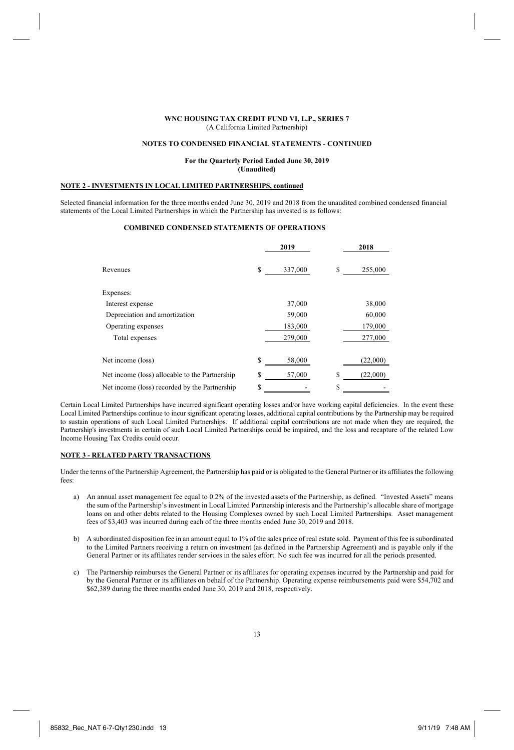#### **NOTES TO CONDENSED FINANCIAL STATEMENTS - CONTINUED**

### **For the Quarterly Period Ended June 30, 2019 (Unaudited)**

## **NOTE 2 - INVESTMENTS IN LOCAL LIMITED PARTNERSHIPS, continued**

Selected financial information for the three months ended June 30, 2019 and 2018 from the unaudited combined condensed financial statements of the Local Limited Partnerships in which the Partnership has invested is as follows:

## **COMBINED CONDENSED STATEMENTS OF OPERATIONS**

|                                                |    | 2019    |   | 2018     |
|------------------------------------------------|----|---------|---|----------|
| Revenues                                       | \$ | 337,000 | S | 255,000  |
| Expenses:                                      |    |         |   |          |
| Interest expense                               |    | 37,000  |   | 38,000   |
| Depreciation and amortization                  |    | 59,000  |   | 60,000   |
| Operating expenses                             |    | 183,000 |   | 179,000  |
| Total expenses                                 |    | 279,000 |   | 277,000  |
| Net income (loss)                              | S  | 58,000  |   | (22,000) |
| Net income (loss) allocable to the Partnership | S  | 57,000  | S | (22,000) |
| Net income (loss) recorded by the Partnership  | S  |         | S |          |

Certain Local Limited Partnerships have incurred significant operating losses and/or have working capital deficiencies. In the event these Local Limited Partnerships continue to incur significant operating losses, additional capital contributions by the Partnership may be required to sustain operations of such Local Limited Partnerships. If additional capital contributions are not made when they are required, the Partnership's investments in certain of such Local Limited Partnerships could be impaired, and the loss and recapture of the related Low Income Housing Tax Credits could occur.

## **NOTE 3 - RELATED PARTY TRANSACTIONS**

Under the terms of the Partnership Agreement, the Partnership has paid or is obligated to the General Partner or its affiliates the following fees:

- a) An annual asset management fee equal to 0.2% of the invested assets of the Partnership, as defined. "Invested Assets" means the sum of the Partnership's investment in Local Limited Partnership interests and the Partnership's allocable share of mortgage loans on and other debts related to the Housing Complexes owned by such Local Limited Partnerships. Asset management fees of \$3,403 was incurred during each of the three months ended June 30, 2019 and 2018.
- b) A subordinated disposition fee in an amount equal to 1% of the sales price of real estate sold. Payment of this fee is subordinated to the Limited Partners receiving a return on investment (as defined in the Partnership Agreement) and is payable only if the General Partner or its affiliates render services in the sales effort. No such fee was incurred for all the periods presented.
- c) The Partnership reimburses the General Partner or its affiliates for operating expenses incurred by the Partnership and paid for by the General Partner or its affiliates on behalf of the Partnership. Operating expense reimbursements paid were \$54,702 and \$62,389 during the three months ended June 30, 2019 and 2018, respectively.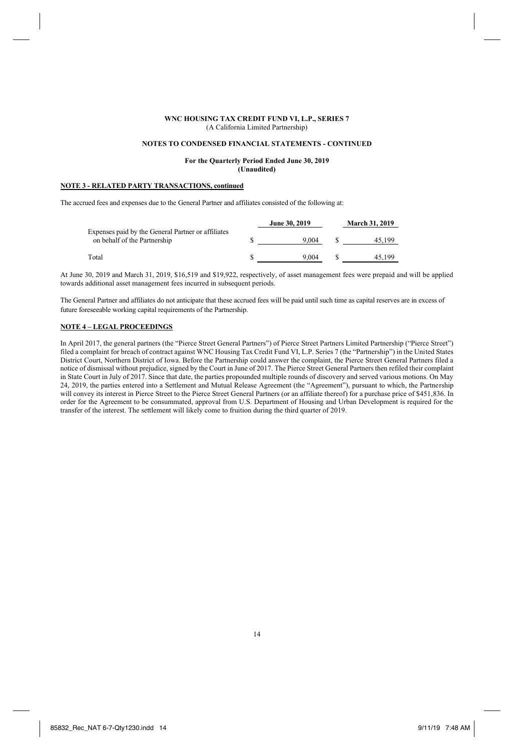#### **NOTES TO CONDENSED FINANCIAL STATEMENTS - CONTINUED**

## **For the Quarterly Period Ended June 30, 2019 (Unaudited)**

# **NOTE 3 - RELATED PARTY TRANSACTIONS, continued**

The accrued fees and expenses due to the General Partner and affiliates consisted of the following at:

|                                                                                    | June 30, 2019 | <b>March 31, 2019</b> |
|------------------------------------------------------------------------------------|---------------|-----------------------|
| Expenses paid by the General Partner or affiliates<br>on behalf of the Partnership | 9.004         | 45.199                |
| Total                                                                              | 9.004         | 45.199                |

At June 30, 2019 and March 31, 2019, \$16,519 and \$19,922, respectively, of asset management fees were prepaid and will be applied towards additional asset management fees incurred in subsequent periods.

The General Partner and affiliates do not anticipate that these accrued fees will be paid until such time as capital reserves are in excess of future foreseeable working capital requirements of the Partnership.

## **NOTE 4 – LEGAL PROCEEDINGS**

In April 2017, the general partners (the "Pierce Street General Partners") of Pierce Street Partners Limited Partnership ("Pierce Street") filed a complaint for breach of contract against WNC Housing Tax Credit Fund VI, L.P. Series 7 (the "Partnership") in the United States District Court, Northern District of Iowa. Before the Partnership could answer the complaint, the Pierce Street General Partners filed a notice of dismissal without prejudice, signed by the Court in June of 2017. The Pierce Street General Partners then refiled their complaint in State Court in July of 2017. Since that date, the parties propounded multiple rounds of discovery and served various motions. On May 24, 2019, the parties entered into a Settlement and Mutual Release Agreement (the "Agreement"), pursuant to which, the Partnership will convey its interest in Pierce Street to the Pierce Street General Partners (or an affiliate thereof) for a purchase price of \$451,836. In order for the Agreement to be consummated, approval from U.S. Department of Housing and Urban Development is required for the transfer of the interest. The settlement will likely come to fruition during the third quarter of 2019.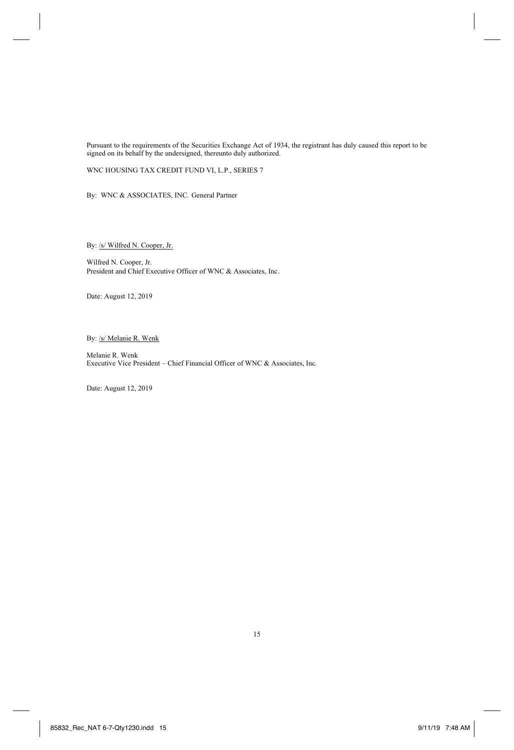Pursuant to the requirements of the Securities Exchange Act of 1934, the registrant has duly caused this report to be signed on its behalf by the undersigned, thereunto duly authorized.

WNC HOUSING TAX CREDIT FUND VI, L.P., SERIES 7

By: WNC & ASSOCIATES, INC. General Partner

By: /s/ Wilfred N. Cooper, Jr.

Wilfred N. Cooper, Jr. President and Chief Executive Officer of WNC & Associates, Inc.

Date: August 12, 2019

By: /s/ Melanie R. Wenk

Melanie R. Wenk Executive Vice President – Chief Financial Officer of WNC & Associates, Inc.

Date: August 12, 2019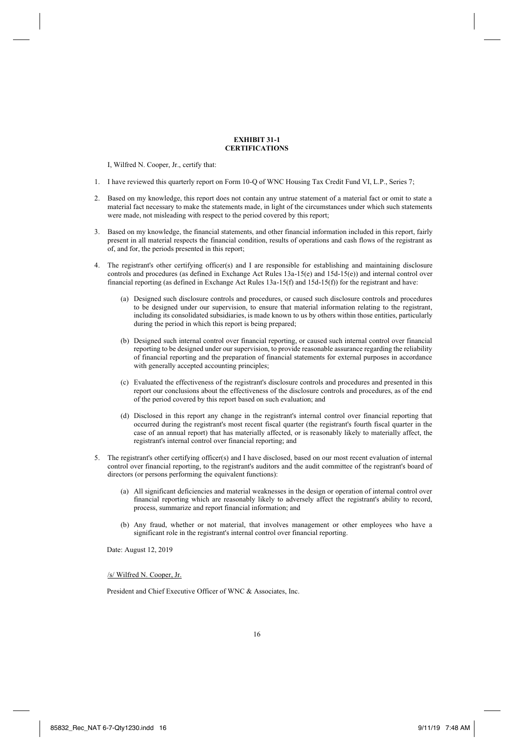### **EXHIBIT 31-1 CERTIFICATIONS**

I, Wilfred N. Cooper, Jr., certify that:

- 1. I have reviewed this quarterly report on Form 10-Q of WNC Housing Tax Credit Fund VI, L.P., Series 7;
- 2. Based on my knowledge, this report does not contain any untrue statement of a material fact or omit to state a material fact necessary to make the statements made, in light of the circumstances under which such statements were made, not misleading with respect to the period covered by this report;
- 3. Based on my knowledge, the financial statements, and other financial information included in this report, fairly present in all material respects the financial condition, results of operations and cash flows of the registrant as of, and for, the periods presented in this report;
- 4. The registrant's other certifying officer(s) and I are responsible for establishing and maintaining disclosure controls and procedures (as defined in Exchange Act Rules 13a-15(e) and 15d-15(e)) and internal control over financial reporting (as defined in Exchange Act Rules 13a-15(f) and 15d-15(f)) for the registrant and have:
	- (a) Designed such disclosure controls and procedures, or caused such disclosure controls and procedures to be designed under our supervision, to ensure that material information relating to the registrant, including its consolidated subsidiaries, is made known to us by others within those entities, particularly during the period in which this report is being prepared;
	- (b) Designed such internal control over financial reporting, or caused such internal control over financial reporting to be designed under our supervision, to provide reasonable assurance regarding the reliability of financial reporting and the preparation of financial statements for external purposes in accordance with generally accepted accounting principles;
	- (c) Evaluated the effectiveness of the registrant's disclosure controls and procedures and presented in this report our conclusions about the effectiveness of the disclosure controls and procedures, as of the end of the period covered by this report based on such evaluation; and
	- (d) Disclosed in this report any change in the registrant's internal control over financial reporting that occurred during the registrant's most recent fiscal quarter (the registrant's fourth fiscal quarter in the case of an annual report) that has materially affected, or is reasonably likely to materially affect, the registrant's internal control over financial reporting; and
- 5. The registrant's other certifying officer(s) and I have disclosed, based on our most recent evaluation of internal control over financial reporting, to the registrant's auditors and the audit committee of the registrant's board of directors (or persons performing the equivalent functions):
	- (a) All significant deficiencies and material weaknesses in the design or operation of internal control over financial reporting which are reasonably likely to adversely affect the registrant's ability to record, process, summarize and report financial information; and
	- (b) Any fraud, whether or not material, that involves management or other employees who have a significant role in the registrant's internal control over financial reporting.

Date: August 12, 2019

/s/ Wilfred N. Cooper, Jr.

President and Chief Executive Officer of WNC & Associates, Inc.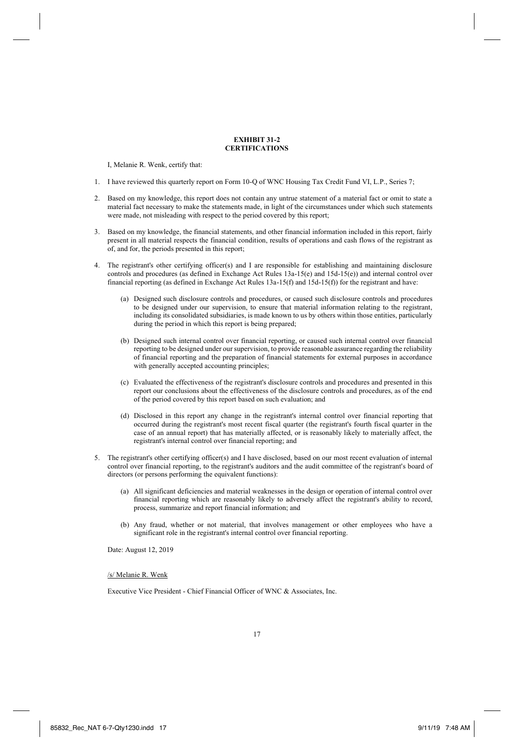### **EXHIBIT 31-2 CERTIFICATIONS**

I, Melanie R. Wenk, certify that:

- 1. I have reviewed this quarterly report on Form 10-Q of WNC Housing Tax Credit Fund VI, L.P., Series 7;
- 2. Based on my knowledge, this report does not contain any untrue statement of a material fact or omit to state a material fact necessary to make the statements made, in light of the circumstances under which such statements were made, not misleading with respect to the period covered by this report;
- 3. Based on my knowledge, the financial statements, and other financial information included in this report, fairly present in all material respects the financial condition, results of operations and cash flows of the registrant as of, and for, the periods presented in this report;
- 4. The registrant's other certifying officer(s) and I are responsible for establishing and maintaining disclosure controls and procedures (as defined in Exchange Act Rules 13a-15(e) and 15d-15(e)) and internal control over financial reporting (as defined in Exchange Act Rules 13a-15(f) and 15d-15(f)) for the registrant and have:
	- (a) Designed such disclosure controls and procedures, or caused such disclosure controls and procedures to be designed under our supervision, to ensure that material information relating to the registrant, including its consolidated subsidiaries, is made known to us by others within those entities, particularly during the period in which this report is being prepared;
	- (b) Designed such internal control over financial reporting, or caused such internal control over financial reporting to be designed under our supervision, to provide reasonable assurance regarding the reliability of financial reporting and the preparation of financial statements for external purposes in accordance with generally accepted accounting principles;
	- (c) Evaluated the effectiveness of the registrant's disclosure controls and procedures and presented in this report our conclusions about the effectiveness of the disclosure controls and procedures, as of the end of the period covered by this report based on such evaluation; and
	- (d) Disclosed in this report any change in the registrant's internal control over financial reporting that occurred during the registrant's most recent fiscal quarter (the registrant's fourth fiscal quarter in the case of an annual report) that has materially affected, or is reasonably likely to materially affect, the registrant's internal control over financial reporting; and
- 5. The registrant's other certifying officer(s) and I have disclosed, based on our most recent evaluation of internal control over financial reporting, to the registrant's auditors and the audit committee of the registrant's board of directors (or persons performing the equivalent functions):
	- (a) All significant deficiencies and material weaknesses in the design or operation of internal control over financial reporting which are reasonably likely to adversely affect the registrant's ability to record, process, summarize and report financial information; and
	- (b) Any fraud, whether or not material, that involves management or other employees who have a significant role in the registrant's internal control over financial reporting.

Date: August 12, 2019

/s/ Melanie R. Wenk

Executive Vice President - Chief Financial Officer of WNC & Associates, Inc.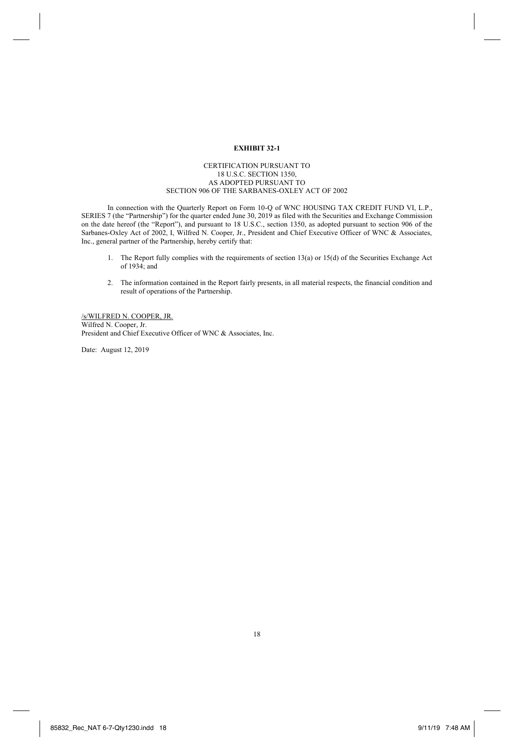# **EXHIBIT 32-1**

## CERTIFICATION PURSUANT TO 18 U.S.C. SECTION 1350, AS ADOPTED PURSUANT TO SECTION 906 OF THE SARBANES-OXLEY ACT OF 2002

In connection with the Quarterly Report on Form 10-Q of WNC HOUSING TAX CREDIT FUND VI, L.P., SERIES 7 (the "Partnership") for the quarter ended June 30, 2019 as filed with the Securities and Exchange Commission on the date hereof (the "Report"), and pursuant to 18 U.S.C., section 1350, as adopted pursuant to section 906 of the Sarbanes-Oxley Act of 2002, I, Wilfred N. Cooper, Jr., President and Chief Executive Officer of WNC & Associates, Inc., general partner of the Partnership, hereby certify that:

- 1. The Report fully complies with the requirements of section 13(a) or 15(d) of the Securities Exchange Act of 1934; and
- 2. The information contained in the Report fairly presents, in all material respects, the financial condition and result of operations of the Partnership.

#### /s/WILFRED N. COOPER, JR. Wilfred N. Cooper, Jr.

President and Chief Executive Officer of WNC & Associates, Inc.

Date: August 12, 2019